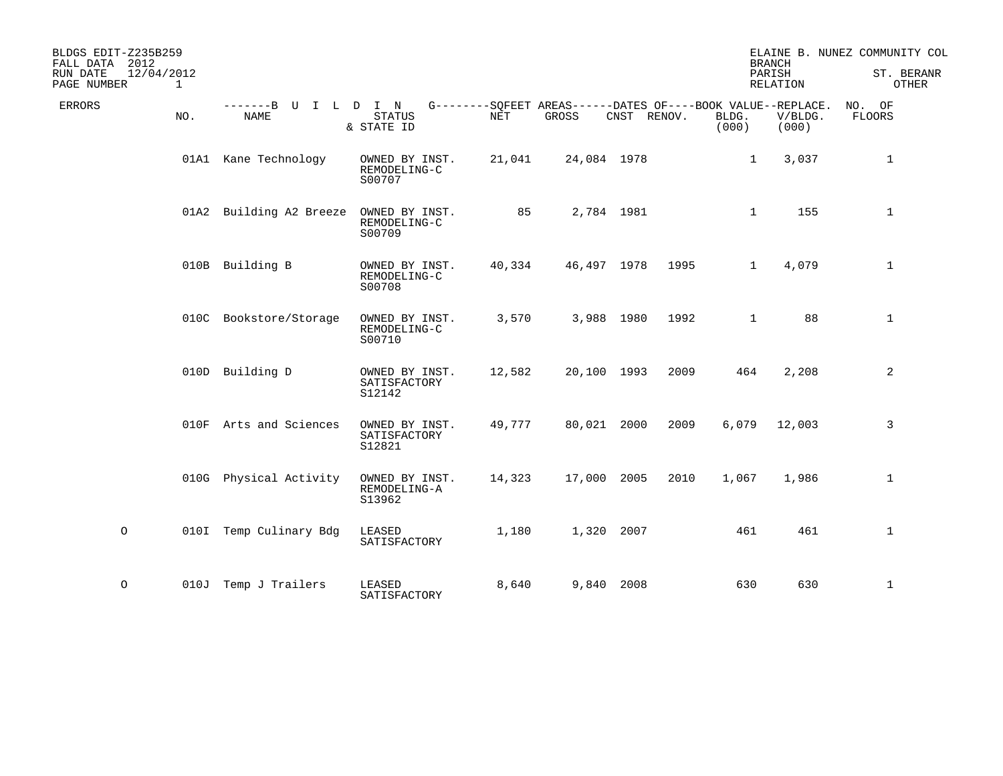| BLDGS EDIT-Z235B259<br>2012<br>FALL DATA<br>RUN DATE<br>12/04/2012<br>PAGE NUMBER<br>1 |                                     |                                          |                                                                    |             |             |      |                | <b>BRANCH</b><br>PARISH<br><b>RELATION</b> | ELAINE B. NUNEZ COMMUNITY COL<br>ST. BERANR<br>OTHER |
|----------------------------------------------------------------------------------------|-------------------------------------|------------------------------------------|--------------------------------------------------------------------|-------------|-------------|------|----------------|--------------------------------------------|------------------------------------------------------|
| <b>ERRORS</b><br>NO.                                                                   | -------B U I L D I N<br><b>NAME</b> | <b>STATUS</b><br>& STATE ID              | G--------SQFEET AREAS------DATES OF----BOOK VALUE--REPLACE.<br>NET | GROSS       | CNST RENOV. |      | BLDG.<br>(000) | V/BLDG.<br>(000)                           | NO. OF<br>FLOORS                                     |
|                                                                                        | 01A1 Kane Technology                | OWNED BY INST.<br>REMODELING-C<br>S00707 | 21,041                                                             | 24,084 1978 |             |      | $\mathbf{1}$   | 3,037                                      | 1                                                    |
|                                                                                        | 01A2 Building A2 Breeze             | OWNED BY INST.<br>REMODELING-C<br>S00709 | 85                                                                 |             | 2,784 1981  |      | $\mathbf{1}$   | 155                                        | $\mathbf{1}$                                         |
|                                                                                        | 010B Building B                     | OWNED BY INST.<br>REMODELING-C<br>S00708 | 40,334                                                             | 46,497 1978 |             | 1995 | $\mathbf{1}$   | 4,079                                      | $\mathbf 1$                                          |
|                                                                                        | 010C Bookstore/Storage              | OWNED BY INST.<br>REMODELING-C<br>S00710 | 3,570                                                              |             | 3,988 1980  | 1992 | $\mathbf 1$    | 88                                         | $\mathbf{1}$                                         |
|                                                                                        | 010D Building D                     | OWNED BY INST.<br>SATISFACTORY<br>S12142 | 12,582                                                             | 20,100 1993 |             | 2009 | 464            | 2,208                                      | 2                                                    |
|                                                                                        | 010F Arts and Sciences              | OWNED BY INST.<br>SATISFACTORY<br>S12821 | 49,777                                                             | 80,021 2000 |             | 2009 | 6,079          | 12,003                                     | 3                                                    |
|                                                                                        | 010G Physical Activity              | OWNED BY INST.<br>REMODELING-A<br>S13962 | 14,323                                                             | 17,000 2005 |             | 2010 | 1,067          | 1,986                                      | $\mathbf{1}$                                         |
| $\circ$                                                                                | 010I Temp Culinary Bdg              | LEASED<br>SATISFACTORY                   | 1,180                                                              |             | 1,320 2007  |      | 461            | 461                                        | $\mathbf{1}$                                         |
| $\circ$                                                                                | 010J Temp J Trailers                | LEASED<br>SATISFACTORY                   | 8,640                                                              |             | 9,840 2008  |      | 630            | 630                                        | $\mathbf 1$                                          |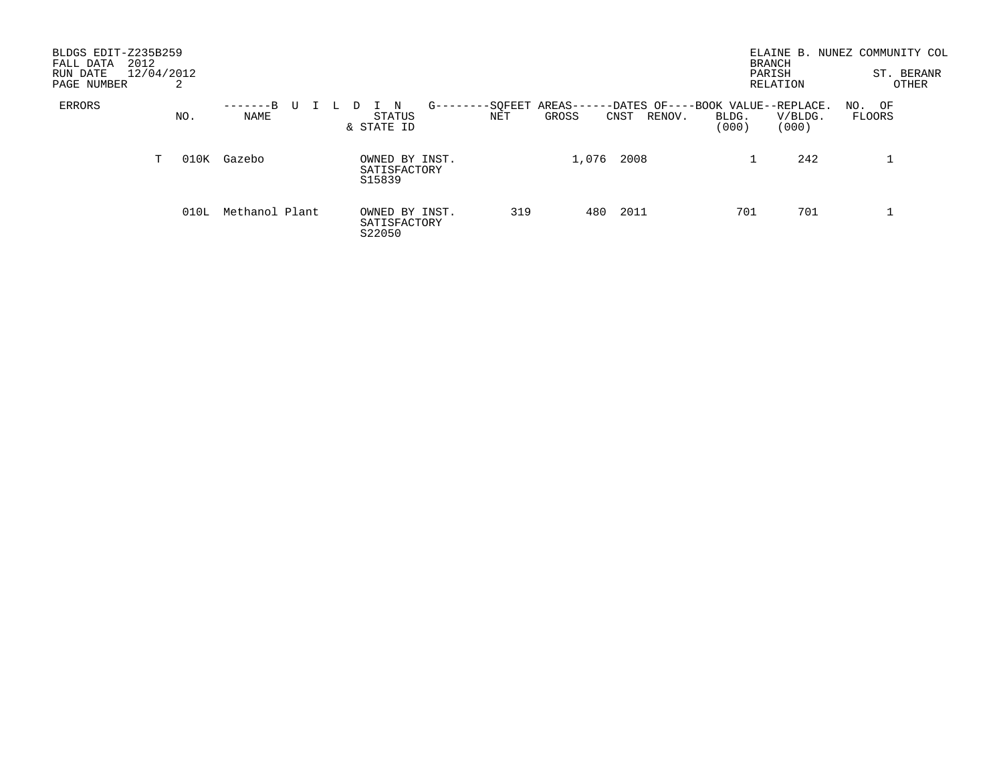| BLDGS EDIT-Z235B259<br>2012<br>FALL DATA<br>RUN DATE<br>PAGE NUMBER |    | 12/04/2012<br>2 |                  |   |                                          |        |                |                  |                                                     |                | ELAINE B.<br><b>BRANCH</b><br>PARISH<br>RELATION | NUNEZ COMMUNITY COL | ST. BERANR<br>OTHER |
|---------------------------------------------------------------------|----|-----------------|------------------|---|------------------------------------------|--------|----------------|------------------|-----------------------------------------------------|----------------|--------------------------------------------------|---------------------|---------------------|
| ERRORS                                                              |    | NO.             | -------B<br>NAME | U | STATUS<br>& STATE ID                     | $G$ -- | -SOFEET<br>NET | AREAS--<br>GROSS | -DATES OF----BOOK VALUE--REPLACE.<br>CNST<br>RENOV. | BLDG.<br>(000) | V/BLDG.<br>(000)                                 | NO. OF<br>FLOORS    |                     |
|                                                                     | T. | 010K            | Gazebo           |   | OWNED BY INST.<br>SATISFACTORY<br>S15839 |        |                | 1,076            | 2008                                                |                | 242                                              |                     |                     |
|                                                                     |    | 010L            | Methanol Plant   |   | OWNED BY INST.<br>SATISFACTORY<br>S22050 |        | 319            | 480              | 2011                                                | 701            | 701                                              | ᅩ                   |                     |